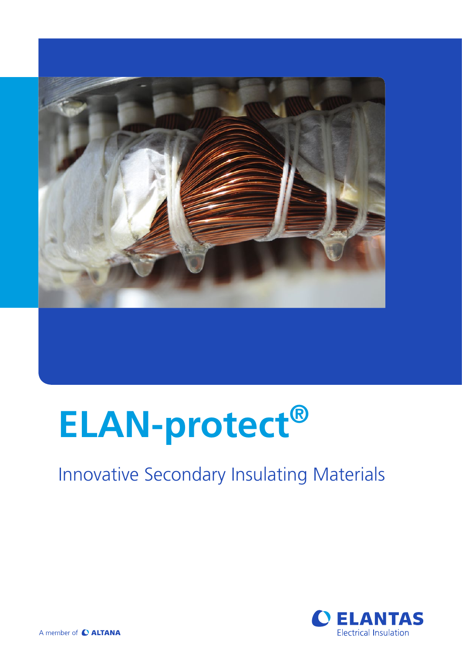

# **ELAN-protect®**

## Innovative Secondary Insulating Materials



A member of C ALTANA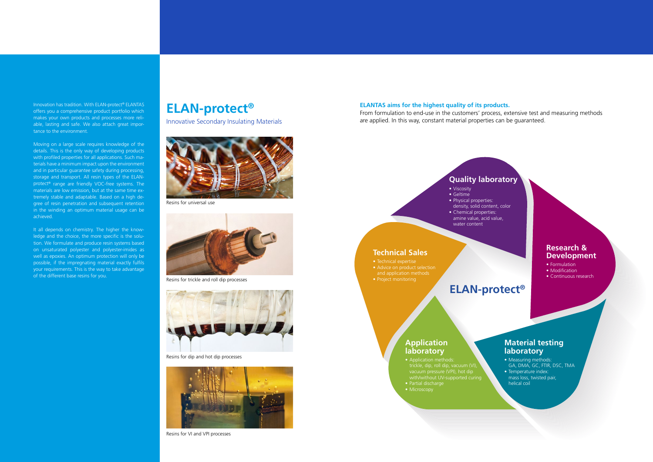- Viscosity
- Geltime elan-protect® EP 201 180 a.500 mPars 5 - 7 min 130 a.500 mPars 5 - 7 min 130 mPars 5 - 7 min 130 mPars 5 - 7 min 130 mPars 5 - 7 min 130 mPars 5 - 7 min 130 mPars 5 - 7 min 130 mPars 5 - 7 min 130 mPars 5 - 7 min 130 mPars
	- Physical properties: density, solid content, color
- Chemical properties: amine value, acid value, elan-protect was up 240 at 200 mpars 4 at 200 mpars 4 min 100 mpars 4 min 160 mpars 4 min 160 mpars 4 min 160 mpars 4 min 160 mpars 4 min 160 mpars 4 mpars 4 mpars 4 mpars 4 mpars 4 mpars 4 mpars 4 mpars 4 mpars 4 mpars 4  $\mathbb{Z}_2$  200  $\mathbb{Z}_2$  - 8 min 160 min 150 min 150 min 150 min 150 min 150 min 150 min 150 min 150 min 150 min 150 min 150 min 150 min 150 min 150 min 150 min 150 min 150 min 150 min 150 min 150 min 150 min 150 min 150 m

#### **Material testing laboratory**  $\blacksquare$  is a second to the component epoxy resin, suitbale for global  $\blacksquare$  and  $\blacksquare$

• Measuring methods: GA, DMA, GC, FTIR, DSC, TMA • Temperature index: mass loss, twisted pair, helical coil 3 - 4 h 180 °C One component epoxy resin with any hydride hardener, for the use in the use in the use in the u

### **Quality laboratory**

water content

## **ELAN-protect®**

- Formulation
- Modification
- Continuous research

#### **Technical Sales**

#### **Application laboratory**

Innovation has tradition. With ELAN-protect® ELANTAS offers you a comprehensive product portfolio which makes your own products and processes more reliable, lasting and safe. We also attach great importance to the environment.

Moving on a large scale requires knowledge of the details. This is the only way of developing products with profiled properties for all applications. Such materials have a minimum impact upon the environment and in particular guarantee safety during processing, storage and transport. All resin types of the ELANprotect® range are friendly VOC-free systems. The materials are low emission, but at the same time extremely stable and adaptable. Based on a high degree of resin penetration and subsequent retention in the winding an optimum material usage can be achieved.

#### <u>ELAN-protect Color UP 142 UP 142 UP 142 UV 200 900 MParameter polyester-imide resin, low viscosity, very low emissions, low viscosity, very low viscosity, very low viscosity, very low viscosity, very low viscosity, very l</u> **Development** 6.000 - 9.000 mPa·s 8 - 12 min 1 h 150 °C Single component polyester-imide resin, good penetration, crack-free

It all depends on chemistry. The higher the knowledge and the choice, the more specific is the solution. We formulate and produce resin systems based on unsaturated polyester and polyester-imides as well as epoxies. An optimum protection will only be possible, if the impregnating material exactly fulfils your requirements. This is the way to take advantage of the different base resins for you.



Resins for universal use



Resins for VI and VPI processes

#### **PRODUCT 1 Products Products Products ELANTAS** aims for the highest quality of its products. From formulation to end-use in the customers' process, extensive test and measuring methods are applied. In this way, constant material properties can be guaranteed.



Resins for trickle and roll dip processes



Resins for dip and hot dip processes

ELAN-protect® UP 142 200 900 - 1.500 mPa·s 3 - 7 min 1 h 150 °C or 30 min 160 °C Single component polyester-imide resin, low viscosity, very low emissions,

 $E_{\rm eff} = 1.9$  TX 200 nmPa $\alpha$  -  $\alpha$  min 160 min 160 min 160 min 160 min 160 min 160 min 160 min 160 min 160 min 160 min 160 min 160 min 160 min 160 min 160 min 160 min 160 min 160 min 160 min 160 min 160 min 160 min 160

- Application methods:  $\parallel$  electrickle, dip, roll dip, vacuum (VI),  $\parallel$  GA, DMA, GC, FTIR, DSC,  $\cdot$  vacuum pressure (VPI), hot dip with/without UV-supported curing
- Partial discharge  $\blacksquare$  elantial discharge  $\blacksquare$  is a medium build, medium build, medium build, medium build, medium build, medium build, medium build, medium build, medium build, medium build, medium build, medium build, medium build, m
- Microscopy ELAN-protect® EP 426 180 3.000 - 5.500 mPa·s 6 - 10 min 165 °C 8 - 12 h 165 °C One component, epoxy impregnating resin suitable for general VPI of all

**Resins for trickle and roll dip processes**

■ PROTECT TECHNICAL EXPERTISE

ELAN-protect® UP 242 A + B 200 1.400 - 2.000 mPa·s 4 - 10 min 30 min 150 °C Two component polyester-imide resin, medium viscosity, high reactivity,

**Resins for dip and hot dip processes**

- Advice on product selection
- and application methods  $\blacksquare$  and application methods  $\blacksquare$
- Project monitoring  $\bullet$  Project monitoring in a set  $\mathcal{L}_{\mathcal{B}}$  is a set of the resin, medium viscosity, high thermal viscosity, high thermal viscosity, high thermal viscosity, high thermal viscosity, high thermal viscosity, high thermal

(Provisional)

**Resins for VI and VPI processes**

ELAN-protect® EP 411 200 3.500 - 5.500 mPa·s 25 °C 3.5 - 5.5 min 165 °C 12 h 165 °C One component epoxy resin, designed for global VPI of traction equip-

ELAN-protect® EP 412 200 4.000 - 6.000 mPa·s 25 °C 3 - 6 min 165 °C 12 h 165 °C One component improved film build epoxy resin, designed for global VPI

## $E = \frac{1}{2}$  ,  $E = \frac{1}{2}$  ,  $E = \frac{1}{2}$  ,  $E = \frac{1}{2}$  ,  $E = \frac{1}{2}$  , designed for global  $E = \frac{1}{2}$

\* measured at 23 °C or as mentioned

## **ELAN-protect®**

Innovative Secondary Insulating Materials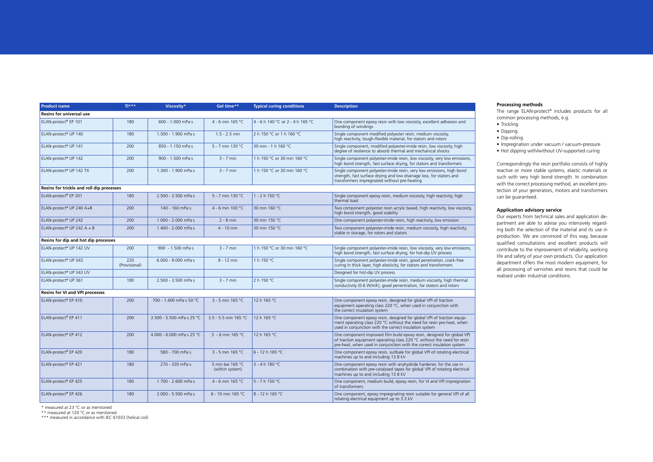- Trickling
- Dipping
- Dip-rolling
- Impregnation under vacuum / vacuum-pressure
- Hot dipping with/without UV-supported curing

| <b>Product name</b>                       | $T$ ***              | Viscosity*                    | Gel time**                          | <b>Typical curing conditions</b> | <b>Description</b>                                                                                                                                                                                                                     |
|-------------------------------------------|----------------------|-------------------------------|-------------------------------------|----------------------------------|----------------------------------------------------------------------------------------------------------------------------------------------------------------------------------------------------------------------------------------|
| <b>Resins for universal use</b>           |                      |                               |                                     |                                  |                                                                                                                                                                                                                                        |
| ELAN-protect® EP 101                      | 180                  | 600 - 1.000 mPa·s             | 4 - 6 min 165 °C                    | 4 - 6 h 140 °C or 2 - 4 h 165 °C | One component epoxy resin with low viscosity, excellent adhesion and<br>bonding of windings                                                                                                                                            |
| ELAN-protect® UP 140                      | 180                  | 1.500 - 1.900 mPa·s           | $1.5 - 2.5$ min                     | 2 h 150 °C or 1 h 160 °C         | Single component modified polyester resin, medium viscosity,<br>high reactivity, tough-flexible material, for stators and rotors                                                                                                       |
| ELAN-protect® UP 141                      | 200                  | 850 - 1.150 mPa·s             | 5 - 7 min 130 °C                    | 30 min - 1 h 160 °C              | Single component, modified polyester-imide resin, low viscosity, high<br>degree of resilience to absorb thermal and mechanical shocks                                                                                                  |
| ELAN-protect® UP 142                      | 200                  | 900 - 1.500 mPa·s             | $3 - 7$ min                         | 1 h 150 °C or 30 min 160 °C      | Single component polyester-imide resin, low viscosity, very low emissions,<br>high bond strength, fast surface drying, for stators and transformers                                                                                    |
| ELAN-protect® UP 142 TX                   | 200                  | 1.300 - 1.900 mPa·s           | $3 - 7$ min                         | 1 h 150 °C or 30 min 160 °C      | Single component polyester-imide resin, very low emissions, high bond<br>strength, fast surface drying and low drainage loss, for stators and<br>transformers impregnated without pre-heating                                          |
| Resins for trickle and roll dip processes |                      |                               |                                     |                                  |                                                                                                                                                                                                                                        |
| ELAN-protect® EP 201                      | 180                  | 2.500 - 3.500 mPa·s           | 5 - 7 min 130 °C                    | 1 - 2 h 150 °C                   | Single component epoxy resin, medium viscosity, high reactivity, high<br>thermal load                                                                                                                                                  |
| ELAN-protect® UP 240 A+B                  | 200                  | 140 - 160 mPa·s               | 4 - 6 min 100 °C                    | 30 min 160 °C                    | Two component polyester resin acrylic based, high reactivity, low viscosity,<br>high bond strength, good stability                                                                                                                     |
| ELAN-protect <sup>®</sup> UP 242          | 200                  | $1.000 - 2.000$ mPa $\cdot$ s | $2 - 8$ min                         | 30 min 150 °C                    | One component polyester-imide resin, high reactivity, low emission                                                                                                                                                                     |
| ELAN-protect <sup>®</sup> UP 242 A + B    | 200                  | $1.400 - 2.000$ mPa $\cdot$ s | 4 - 10 min                          | 30 min 150 °C                    | Two component polyester-imide resin, medium viscosity, high reactivity,<br>stable in storage, for rotors and stators                                                                                                                   |
| Resins for dip and hot dip processes      |                      |                               |                                     |                                  |                                                                                                                                                                                                                                        |
| ELAN-protect® UP 142 UV                   | 200                  | 900 - 1.500 mPa·s             | $3 - 7$ min                         | 1 h 150 °C or 30 min 160 °C      | Single component polyester-imide resin, low viscosity, very low emissions,<br>high bond strength, fast surface drying, for hot-dip UV process                                                                                          |
| ELAN-protect <sup>®</sup> UP 343          | 220<br>(Provisional) | $6.000 - 9.000$ mPa $\cdot$ s | 8 - 12 min                          | 1 h 150 °C                       | Single component polyester-imide resin, good penetration, crack-free<br>curing in thick layer, high elasticity, for stators and transformers                                                                                           |
| ELAN-protect® UP 343 UV                   |                      |                               |                                     |                                  | Designed for hot-dip UV process                                                                                                                                                                                                        |
| ELAN-protect <sup>®</sup> UP 361          | 180                  | 2.500 - 3.500 mPa·s           | $3 - 7$ min                         | 2 h 150 °C                       | Single component polyester-imide resin, medium viscosity, high thermal<br>conductivity (0.6 W/mK), good penentration, for stators and rotors                                                                                           |
| <b>Resins for VI and VPI processes</b>    |                      |                               |                                     |                                  |                                                                                                                                                                                                                                        |
| ELAN-protect <sup>®</sup> EP 410          | 200                  | 700 - 1.400 mPa·s 50 °C       | 3 - 5 min 165 °C                    | 12 h 165 °C                      | One component epoxy resin, designed for global VPI of traction<br>equipment operating class 220 °C, when used in conjunction with<br>the correct insulation system                                                                     |
| ELAN-protect® EP 411                      | 200                  | 3.500 - 5.500 mPa·s 25 °C     | 3.5 - 5.5 min 165 °C                | 12 h 165 °C                      | One component epoxy resin, designed for global VPI of traction equip-<br>ment operating class 220 °C without the need for resin pre-heat, when<br>used in conjunction with the correct insulation system                               |
| ELAN-protect® EP 412                      | 200                  | 4.000 - 6.000 mPa·s 25 °C     | 3 - 6 min 165 °C                    | 12 h 165 °C                      | One component improved film build epoxy resin, designed for global VPI<br>of traction equipment operating class 220 <sup>°</sup> C without the need for resin<br>pre-heat, when used in conjunction with the correct insulation system |
| ELAN-protect® EP 420                      | 180                  | 580 - 700 mPa·s               | 3 - 5 min 165 °C                    | $6 - 12 h 165 °C$                | One component epoxy resin, suitbale for global VPI of rotating electrical<br>machines up to and including 13.8 kV                                                                                                                      |
| ELAN-protect <sup>®</sup> EP 421          | 180                  | 270 - 330 mPa·s               | 5 min bei 165 °C<br>(within system) | $3 - 4 h 180 °C$                 | One component epoxy resin with anyhydride hardener, for the use in<br>combination with pre-catalysed tapes for global VPI of rotating electrical<br>machines up to and including 13.8 kV                                               |
| ELAN-protect® EP 425                      | 180                  | 1.700 - 2.600 mPa·s           | 4 - 6 min 165 °C                    | $5 - 7 h 150 °C$                 | One component, medium build, epoxy resin, for VI and VPI impregnation<br>of transformers                                                                                                                                               |
| ELAN-protect <sup>®</sup> EP 426          | 180                  | 3.000 - 5.500 mPa·s           | 6 - 10 min 165 °C                   | 8 - 12 h 165 °C                  | One component, epoxy impregnating resin suitable for general VPI of all<br>rotating electrical equipment up to 3.3 kV                                                                                                                  |

\* measured at 23 °C or as mentioned

\*\* measured at 120 °C or as mentioned

\*\*\* measured in accordance with IEC 61033 (helical coil)

#### **Processing methods**

The range ELAN-protect® includes products for all common processing methods, e.g.

Correspondingly the resin portfolio consists of highly reactive or more stable systems, elastic materials or such with very high bond strength. In combination with the correct processing method, an excellent protection of your generators, motors and transformers can be guaranteed.

#### **Application advisory service**

Our experts from technical sales and application department are able to advise you intensively regarding both the selection of the material and its use in production. We are convinced of this way, because qualified consultations and excellent products will contribute to the improvement of reliability, working life and safety of your own products. Our application department offers the most modern equipment, for all processing of varnishes and resins that could be realised under industrial conditions.